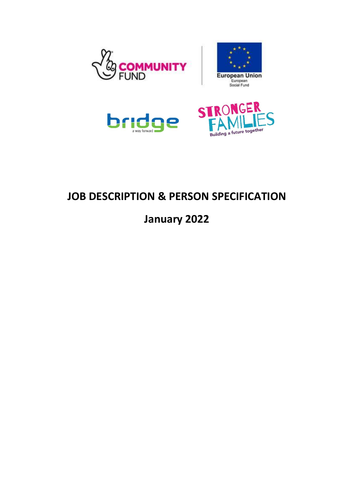





## **JOB DESCRIPTION & PERSON SPECIFICATION**

**January 2022**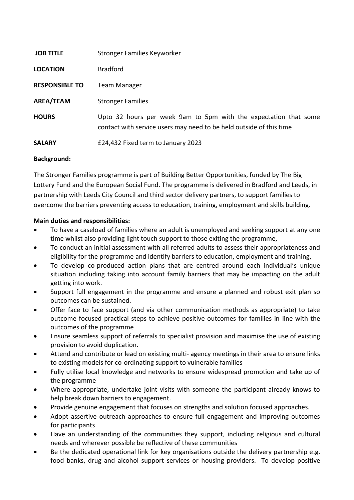| <b>JOB TITLE</b>      | Stronger Families Keyworker                                                                                                             |
|-----------------------|-----------------------------------------------------------------------------------------------------------------------------------------|
| <b>LOCATION</b>       | <b>Bradford</b>                                                                                                                         |
| <b>RESPONSIBLE TO</b> | <b>Team Manager</b>                                                                                                                     |
| AREA/TEAM             | <b>Stronger Families</b>                                                                                                                |
| <b>HOURS</b>          | Upto 32 hours per week 9am to 5pm with the expectation that some<br>contact with service users may need to be held outside of this time |
| <b>SALARY</b>         | £24,432 Fixed term to January 2023                                                                                                      |

## **Background:**

The Stronger Families programme is part of Building Better Opportunities, funded by The Big Lottery Fund and the European Social Fund. The programme is delivered in Bradford and Leeds, in partnership with Leeds City Council and third sector delivery partners, to support families to overcome the barriers preventing access to education, training, employment and skills building.

## **Main duties and responsibilities:**

- To have a caseload of families where an adult is unemployed and seeking support at any one time whilst also providing light touch support to those exiting the programme,
- To conduct an initial assessment with all referred adults to assess their appropriateness and eligibility for the programme and identify barriers to education, employment and training,
- To develop co-produced action plans that are centred around each individual's unique situation including taking into account family barriers that may be impacting on the adult getting into work.
- Support full engagement in the programme and ensure a planned and robust exit plan so outcomes can be sustained.
- Offer face to face support (and via other communication methods as appropriate) to take outcome focused practical steps to achieve positive outcomes for families in line with the outcomes of the programme
- Ensure seamless support of referrals to specialist provision and maximise the use of existing provision to avoid duplication.
- Attend and contribute or lead on existing multi- agency meetings in their area to ensure links to existing models for co-ordinating support to vulnerable families
- Fully utilise local knowledge and networks to ensure widespread promotion and take up of the programme
- Where appropriate, undertake joint visits with someone the participant already knows to help break down barriers to engagement.
- Provide genuine engagement that focuses on strengths and solution focused approaches.
- Adopt assertive outreach approaches to ensure full engagement and improving outcomes for participants
- Have an understanding of the communities they support, including religious and cultural needs and wherever possible be reflective of these communities
- Be the dedicated operational link for key organisations outside the delivery partnership e.g. food banks, drug and alcohol support services or housing providers. To develop positive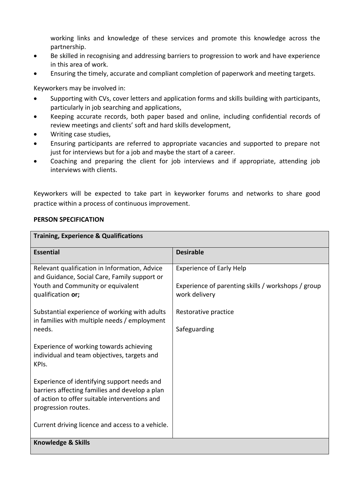working links and knowledge of these services and promote this knowledge across the partnership.

- Be skilled in recognising and addressing barriers to progression to work and have experience in this area of work.
- Ensuring the timely, accurate and compliant completion of paperwork and meeting targets.

Keyworkers may be involved in:

- Supporting with CVs, cover letters and application forms and skills building with participants, particularly in job searching and applications,
- Keeping accurate records, both paper based and online, including confidential records of review meetings and clients' soft and hard skills development,
- Writing case studies,
- Ensuring participants are referred to appropriate vacancies and supported to prepare not just for interviews but for a job and maybe the start of a career.
- Coaching and preparing the client for job interviews and if appropriate, attending job interviews with clients.

Keyworkers will be expected to take part in keyworker forums and networks to share good practice within a process of continuous improvement.

## **PERSON SPECIFICATION**

| <b>Training, Experience &amp; Qualifications</b>                                                                                                                      |                                                                                                        |  |  |
|-----------------------------------------------------------------------------------------------------------------------------------------------------------------------|--------------------------------------------------------------------------------------------------------|--|--|
| <b>Essential</b>                                                                                                                                                      | <b>Desirable</b>                                                                                       |  |  |
| Relevant qualification in Information, Advice<br>and Guidance, Social Care, Family support or<br>Youth and Community or equivalent<br>qualification or;               | <b>Experience of Early Help</b><br>Experience of parenting skills / workshops / group<br>work delivery |  |  |
| Substantial experience of working with adults<br>in families with multiple needs / employment                                                                         | Restorative practice                                                                                   |  |  |
| needs.                                                                                                                                                                | Safeguarding                                                                                           |  |  |
| Experience of working towards achieving<br>individual and team objectives, targets and<br>KPIs.                                                                       |                                                                                                        |  |  |
| Experience of identifying support needs and<br>barriers affecting families and develop a plan<br>of action to offer suitable interventions and<br>progression routes. |                                                                                                        |  |  |
| Current driving licence and access to a vehicle.                                                                                                                      |                                                                                                        |  |  |
| <b>Knowledge &amp; Skills</b>                                                                                                                                         |                                                                                                        |  |  |